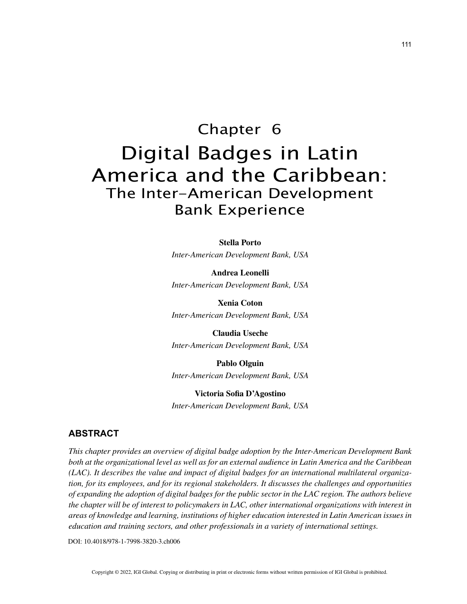# Chapter 6 Digital Badges in Latin America and the Caribbean: The Inter-American Development Bank Experience

**Stella Porto**

*Inter-American Development Bank, USA*

**Andrea Leonelli** *Inter-American Development Bank, USA*

**Xenia Coton** *Inter-American Development Bank, USA*

**Claudia Useche** *Inter-American Development Bank, USA*

**Pablo Olguin** *Inter-American Development Bank, USA*

**Victoria Sofia D'Agostino** *Inter-American Development Bank, USA*

# **ABSTRACT**

*This chapter provides an overview of digital badge adoption by the Inter-American Development Bank both at the organizational level as well as for an external audience in Latin America and the Caribbean (LAC). It describes the value and impact of digital badges for an international multilateral organization, for its employees, and for its regional stakeholders. It discusses the challenges and opportunities of expanding the adoption of digital badges for the public sector in the LAC region. The authors believe the chapter will be of interest to policymakers in LAC, other international organizations with interest in areas of knowledge and learning, institutions of higher education interested in Latin American issues in education and training sectors, and other professionals in a variety of international settings.*

DOI: 10.4018/978-1-7998-3820-3.ch006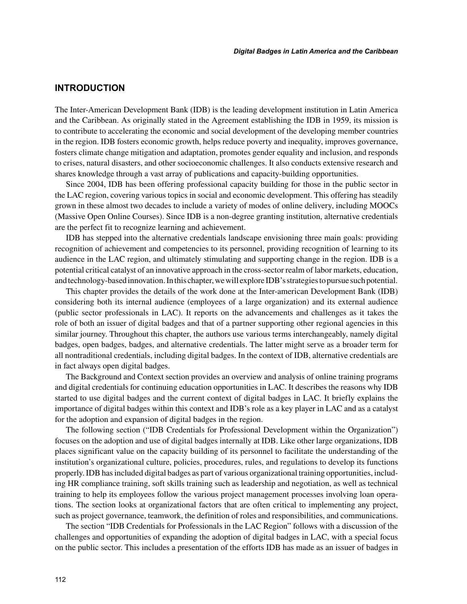### **INTRODUCTION**

The Inter-American Development Bank (IDB) is the leading development institution in Latin America and the Caribbean. As originally stated in the Agreement establishing the IDB in 1959, its mission is to contribute to accelerating the economic and social development of the developing member countries in the region. IDB fosters economic growth, helps reduce poverty and inequality, improves governance, fosters climate change mitigation and adaptation, promotes gender equality and inclusion, and responds to crises, natural disasters, and other socioeconomic challenges. It also conducts extensive research and shares knowledge through a vast array of publications and capacity-building opportunities.

Since 2004, IDB has been offering professional capacity building for those in the public sector in the LAC region, covering various topics in social and economic development. This offering has steadily grown in these almost two decades to include a variety of modes of online delivery, including MOOCs (Massive Open Online Courses). Since IDB is a non-degree granting institution, alternative credentials are the perfect fit to recognize learning and achievement.

IDB has stepped into the alternative credentials landscape envisioning three main goals: providing recognition of achievement and competencies to its personnel, providing recognition of learning to its audience in the LAC region, and ultimately stimulating and supporting change in the region. IDB is a potential critical catalyst of an innovative approach in the cross-sector realm of labor markets, education, and technology-based innovation. In this chapter, we will explore IDB's strategies to pursue such potential.

This chapter provides the details of the work done at the Inter-american Development Bank (IDB) considering both its internal audience (employees of a large organization) and its external audience (public sector professionals in LAC). It reports on the advancements and challenges as it takes the role of both an issuer of digital badges and that of a partner supporting other regional agencies in this similar journey. Throughout this chapter, the authors use various terms interchangeably, namely digital badges, open badges, badges, and alternative credentials. The latter might serve as a broader term for all nontraditional credentials, including digital badges. In the context of IDB, alternative credentials are in fact always open digital badges.

The Background and Context section provides an overview and analysis of online training programs and digital credentials for continuing education opportunities in LAC. It describes the reasons why IDB started to use digital badges and the current context of digital badges in LAC. It briefly explains the importance of digital badges within this context and IDB's role as a key player in LAC and as a catalyst for the adoption and expansion of digital badges in the region.

The following section ("IDB Credentials for Professional Development within the Organization") focuses on the adoption and use of digital badges internally at IDB. Like other large organizations, IDB places significant value on the capacity building of its personnel to facilitate the understanding of the institution's organizational culture, policies, procedures, rules, and regulations to develop its functions properly. IDB has included digital badges as part of various organizational training opportunities, including HR compliance training, soft skills training such as leadership and negotiation, as well as technical training to help its employees follow the various project management processes involving loan operations. The section looks at organizational factors that are often critical to implementing any project, such as project governance, teamwork, the definition of roles and responsibilities, and communications.

The section "IDB Credentials for Professionals in the LAC Region" follows with a discussion of the challenges and opportunities of expanding the adoption of digital badges in LAC, with a special focus on the public sector. This includes a presentation of the efforts IDB has made as an issuer of badges in